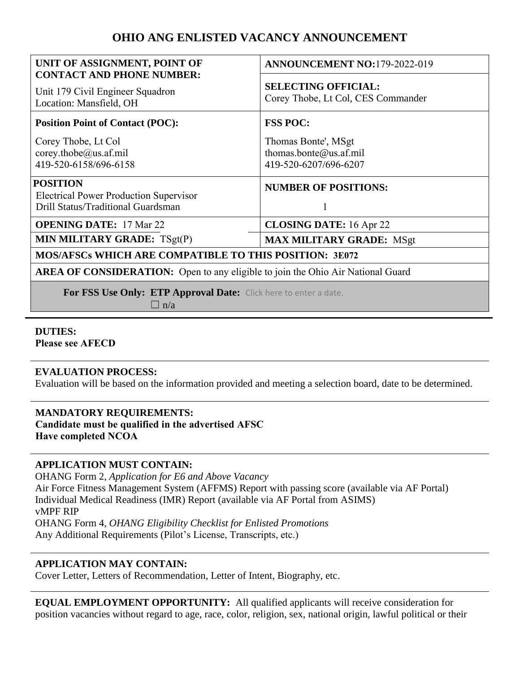# **OHIO ANG ENLISTED VACANCY ANNOUNCEMENT**

| UNIT OF ASSIGNMENT, POINT OF<br><b>CONTACT AND PHONE NUMBER:</b>                                       | <b>ANNOUNCEMENT NO:179-2022-019</b>                                    |
|--------------------------------------------------------------------------------------------------------|------------------------------------------------------------------------|
| Unit 179 Civil Engineer Squadron<br>Location: Mansfield, OH                                            | <b>SELECTING OFFICIAL:</b><br>Corey Thobe, Lt Col, CES Commander       |
| <b>Position Point of Contact (POC):</b>                                                                | <b>FSS POC:</b>                                                        |
| Corey Thobe, Lt Col<br>corey.thobe@us.af.mil<br>419-520-6158/696-6158                                  | Thomas Bonte', MSgt<br>thomas.bonte@us.af.mil<br>419-520-6207/696-6207 |
| <b>POSITION</b><br><b>Electrical Power Production Supervisor</b><br>Drill Status/Traditional Guardsman | <b>NUMBER OF POSITIONS:</b>                                            |
| <b>OPENING DATE: 17 Mar 22</b>                                                                         | <b>CLOSING DATE:</b> 16 Apr 22                                         |
| MIN MILITARY GRADE: TSgt(P)                                                                            | <b>MAX MILITARY GRADE: MSgt</b>                                        |
| <b>MOS/AFSCs WHICH ARE COMPATIBLE TO THIS POSITION: 3E072</b>                                          |                                                                        |
| <b>AREA OF CONSIDERATION:</b> Open to any eligible to join the Ohio Air National Guard                 |                                                                        |
| For FSS Use Only: ETP Approval Date: Click here to enter a date.<br>n/a                                |                                                                        |

# **DUTIES:**

**Please see AFECD**

### **EVALUATION PROCESS:**

Evaluation will be based on the information provided and meeting a selection board, date to be determined.

## **MANDATORY REQUIREMENTS:**

**Candidate must be qualified in the advertised AFSC Have completed NCOA**

### **APPLICATION MUST CONTAIN:**

OHANG Form 2, *Application for E6 and Above Vacancy* Air Force Fitness Management System (AFFMS) Report with passing score (available via AF Portal) Individual Medical Readiness (IMR) Report (available via AF Portal from ASIMS) vMPF RIP OHANG Form 4, *OHANG Eligibility Checklist for Enlisted Promotions* Any Additional Requirements (Pilot's License, Transcripts, etc.)

### **APPLICATION MAY CONTAIN:**

Cover Letter, Letters of Recommendation, Letter of Intent, Biography, etc.

**EQUAL EMPLOYMENT OPPORTUNITY:** All qualified applicants will receive consideration for position vacancies without regard to age, race, color, religion, sex, national origin, lawful political or their